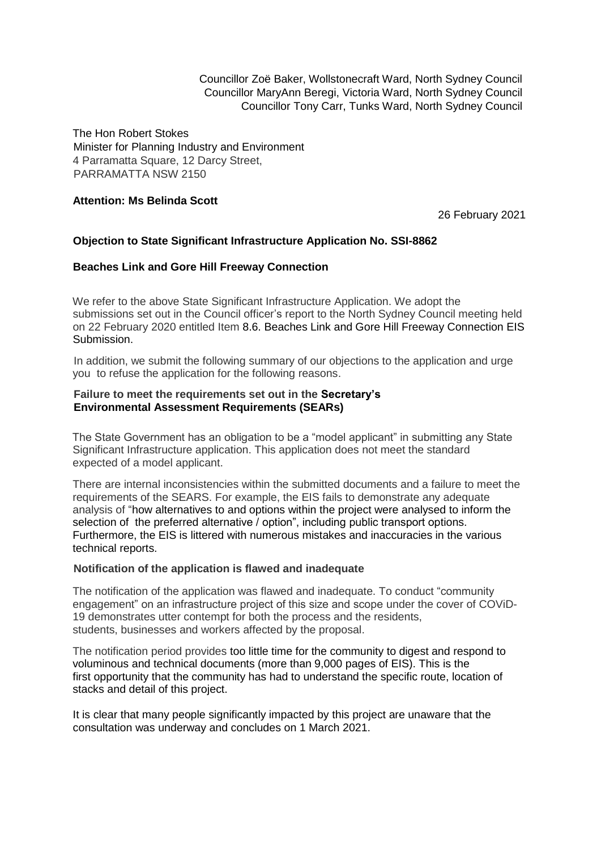Councillor Zoë Baker, Wollstonecraft Ward, North Sydney Council Councillor MaryAnn Beregi, Victoria Ward, North Sydney Council Councillor Tony Carr, Tunks Ward, North Sydney Council

The Hon Robert Stokes Minister for Planning Industry and Environment 4 Parramatta Square, 12 Darcy Street, PARRAMATTA NSW 2150

# **Attention: Ms Belinda Scott**

26 February 2021

# **Objection to State Significant Infrastructure Application No. SSI-8862**

## **Beaches Link and Gore Hill Freeway Connection**

We refer to the above State Significant Infrastructure Application. We adopt the submissions set out in the Council officer's report to the North Sydney Council meeting held on 22 February 2020 entitled Item 8.6. Beaches Link and Gore Hill Freeway Connection EIS Submission.

In addition, we submit the following summary of our objections to the application and urge you to refuse the application for the following reasons.

#### **Failure to meet the requirements set out in the Secretary's Environmental Assessment Requirements (SEARs)**

The State Government has an obligation to be a "model applicant" in submitting any State Significant Infrastructure application. This application does not meet the standard expected of a model applicant.

There are internal inconsistencies within the submitted documents and a failure to meet the requirements of the SEARS. For example, the EIS fails to demonstrate any adequate analysis of "how alternatives to and options within the project were analysed to inform the selection of the preferred alternative / option", including public transport options. Furthermore, the EIS is littered with numerous mistakes and inaccuracies in the various technical reports.

#### **Notification of the application is flawed and inadequate**

The notification of the application was flawed and inadequate. To conduct "community engagement" on an infrastructure project of this size and scope under the cover of COViD-19 demonstrates utter contempt for both the process and the residents, students, businesses and workers affected by the proposal.

The notification period provides too little time for the community to digest and respond to voluminous and technical documents (more than 9,000 pages of EIS). This is the first opportunity that the community has had to understand the specific route, location of stacks and detail of this project.

It is clear that many people significantly impacted by this project are unaware that the consultation was underway and concludes on 1 March 2021.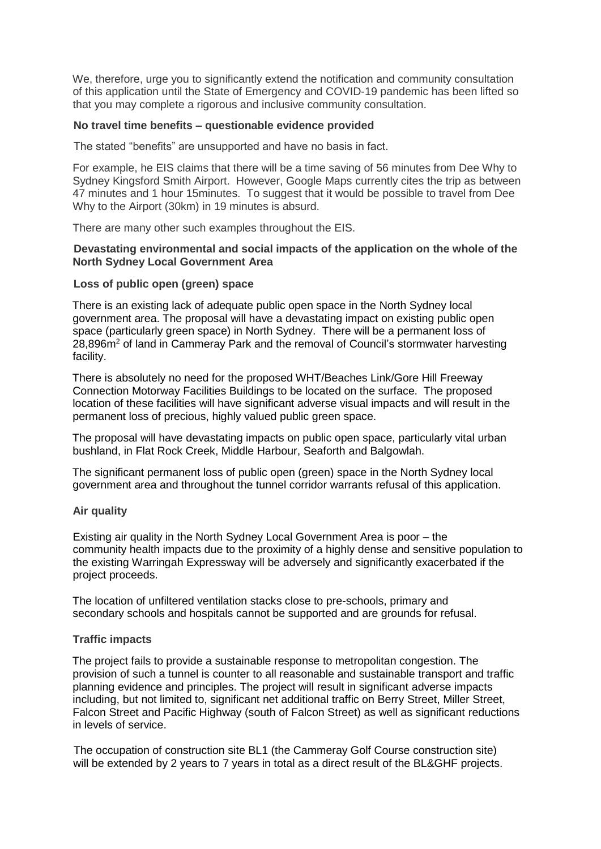We, therefore, urge you to significantly extend the notification and community consultation of this application until the State of Emergency and COVID-19 pandemic has been lifted so that you may complete a rigorous and inclusive community consultation.

#### **No travel time benefits – questionable evidence provided**

The stated "benefits" are unsupported and have no basis in fact.

For example, he EIS claims that there will be a time saving of 56 minutes from Dee Why to Sydney Kingsford Smith Airport. However, Google Maps currently cites the trip as between 47 minutes and 1 hour 15minutes. To suggest that it would be possible to travel from Dee Why to the Airport (30km) in 19 minutes is absurd.

There are many other such examples throughout the EIS.

#### **Devastating environmental and social impacts of the application on the whole of the North Sydney Local Government Area**

## **Loss of public open (green) space**

There is an existing lack of adequate public open space in the North Sydney local government area. The proposal will have a devastating impact on existing public open space (particularly green space) in North Sydney. There will be a permanent loss of 28,896m<sup>2</sup> of land in Cammeray Park and the removal of Council's stormwater harvesting facility.

There is absolutely no need for the proposed WHT/Beaches Link/Gore Hill Freeway Connection Motorway Facilities Buildings to be located on the surface. The proposed location of these facilities will have significant adverse visual impacts and will result in the permanent loss of precious, highly valued public green space.

The proposal will have devastating impacts on public open space, particularly vital urban bushland, in Flat Rock Creek, Middle Harbour, Seaforth and Balgowlah.

The significant permanent loss of public open (green) space in the North Sydney local government area and throughout the tunnel corridor warrants refusal of this application.

## **Air quality**

Existing air quality in the North Sydney Local Government Area is poor – the community health impacts due to the proximity of a highly dense and sensitive population to the existing Warringah Expressway will be adversely and significantly exacerbated if the project proceeds.

The location of unfiltered ventilation stacks close to pre-schools, primary and secondary schools and hospitals cannot be supported and are grounds for refusal.

## **Traffic impacts**

The project fails to provide a sustainable response to metropolitan congestion. The provision of such a tunnel is counter to all reasonable and sustainable transport and traffic planning evidence and principles. The project will result in significant adverse impacts including, but not limited to, significant net additional traffic on Berry Street, Miller Street, Falcon Street and Pacific Highway (south of Falcon Street) as well as significant reductions in levels of service.

The occupation of construction site BL1 (the Cammeray Golf Course construction site) will be extended by 2 years to 7 years in total as a direct result of the BL&GHF projects.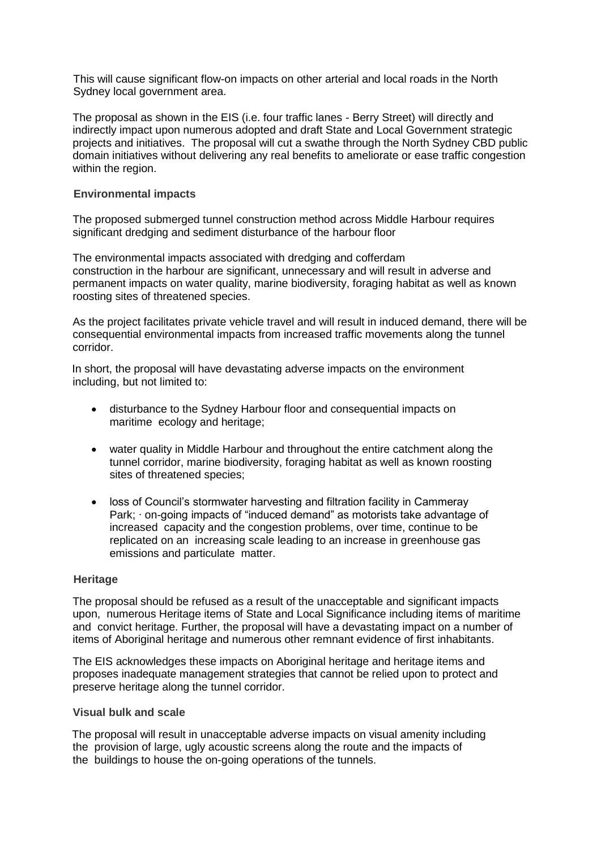This will cause significant flow-on impacts on other arterial and local roads in the North Sydney local government area.

The proposal as shown in the EIS (i.e. four traffic lanes - Berry Street) will directly and indirectly impact upon numerous adopted and draft State and Local Government strategic projects and initiatives. The proposal will cut a swathe through the North Sydney CBD public domain initiatives without delivering any real benefits to ameliorate or ease traffic congestion within the region.

### **Environmental impacts**

The proposed submerged tunnel construction method across Middle Harbour requires significant dredging and sediment disturbance of the harbour floor

The environmental impacts associated with dredging and cofferdam construction in the harbour are significant, unnecessary and will result in adverse and permanent impacts on water quality, marine biodiversity, foraging habitat as well as known roosting sites of threatened species.

As the project facilitates private vehicle travel and will result in induced demand, there will be consequential environmental impacts from increased traffic movements along the tunnel corridor.

In short, the proposal will have devastating adverse impacts on the environment including, but not limited to:

- disturbance to the Sydney Harbour floor and consequential impacts on maritime ecology and heritage;
- water quality in Middle Harbour and throughout the entire catchment along the tunnel corridor, marine biodiversity, foraging habitat as well as known roosting sites of threatened species;
- loss of Council's stormwater harvesting and filtration facility in Cammeray Park; ∙ on-going impacts of "induced demand" as motorists take advantage of increased capacity and the congestion problems, over time, continue to be replicated on an increasing scale leading to an increase in greenhouse gas emissions and particulate matter.

#### **Heritage**

The proposal should be refused as a result of the unacceptable and significant impacts upon, numerous Heritage items of State and Local Significance including items of maritime and convict heritage. Further, the proposal will have a devastating impact on a number of items of Aboriginal heritage and numerous other remnant evidence of first inhabitants.

The EIS acknowledges these impacts on Aboriginal heritage and heritage items and proposes inadequate management strategies that cannot be relied upon to protect and preserve heritage along the tunnel corridor.

### **Visual bulk and scale**

The proposal will result in unacceptable adverse impacts on visual amenity including the provision of large, ugly acoustic screens along the route and the impacts of the buildings to house the on-going operations of the tunnels.